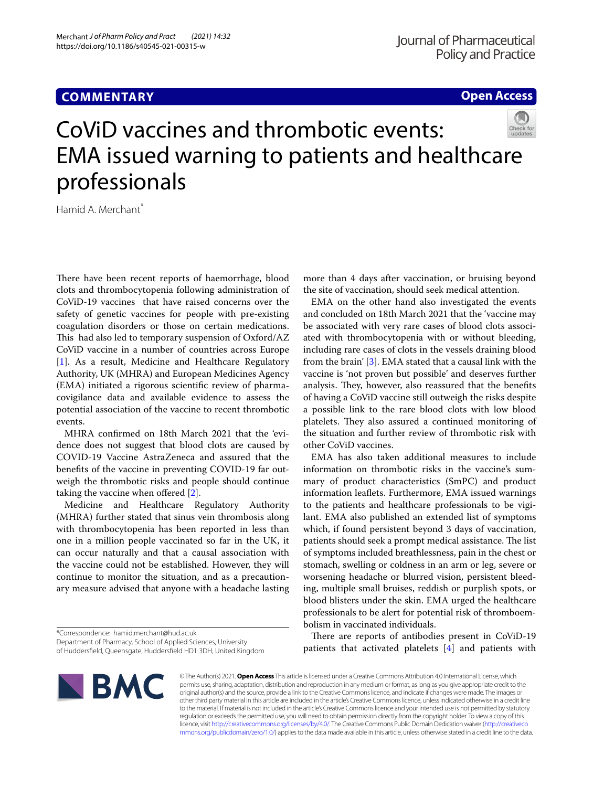## **COMMENTARY**

**Open Access**

# CoViD vaccines and thrombotic events: EMA issued warning to patients and healthcare professionals

Hamid A. Merchant<sup>\*</sup>

There have been recent reports of haemorrhage, blood clots and thrombocytopenia following administration of CoViD-19 vaccines that have raised concerns over the safety of genetic vaccines for people with pre-existing coagulation disorders or those on certain medications. This had also led to temporary suspension of Oxford/AZ CoViD vaccine in a number of countries across Europe [[1\]](#page-1-0). As a result, Medicine and Healthcare Regulatory Authority, UK (MHRA) and European Medicines Agency (EMA) initiated a rigorous scientifc review of pharmacovigilance data and available evidence to assess the potential association of the vaccine to recent thrombotic events.

MHRA confrmed on 18th March 2021 that the 'evidence does not suggest that blood clots are caused by COVID-19 Vaccine AstraZeneca and assured that the benefts of the vaccine in preventing COVID-19 far outweigh the thrombotic risks and people should continue taking the vaccine when offered [\[2](#page-1-1)].

Medicine and Healthcare Regulatory Authority (MHRA) further stated that sinus vein thrombosis along with thrombocytopenia has been reported in less than one in a million people vaccinated so far in the UK, it can occur naturally and that a causal association with the vaccine could not be established. However, they will continue to monitor the situation, and as a precautionary measure advised that anyone with a headache lasting

\*Correspondence: hamid.merchant@hud.ac.uk

of Huddersfeld, Queensgate, Huddersfeld HD1 3DH, United Kingdom



more than 4 days after vaccination, or bruising beyond the site of vaccination, should seek medical attention.

EMA on the other hand also investigated the events and concluded on 18th March 2021 that the 'vaccine may be associated with very rare cases of blood clots associated with thrombocytopenia with or without bleeding, including rare cases of clots in the vessels draining blood from the brain' [[3\]](#page-1-2). EMA stated that a causal link with the vaccine is 'not proven but possible' and deserves further analysis. They, however, also reassured that the benefits of having a CoViD vaccine still outweigh the risks despite a possible link to the rare blood clots with low blood platelets. They also assured a continued monitoring of the situation and further review of thrombotic risk with other CoViD vaccines.

EMA has also taken additional measures to include information on thrombotic risks in the vaccine's summary of product characteristics (SmPC) and product information leafets. Furthermore, EMA issued warnings to the patients and healthcare professionals to be vigilant. EMA also published an extended list of symptoms which, if found persistent beyond 3 days of vaccination, patients should seek a prompt medical assistance. The list of symptoms included breathlessness, pain in the chest or stomach, swelling or coldness in an arm or leg, severe or worsening headache or blurred vision, persistent bleeding, multiple small bruises, reddish or purplish spots, or blood blisters under the skin. EMA urged the healthcare professionals to be alert for potential risk of thromboembolism in vaccinated individuals.

There are reports of antibodies present in CoViD-19 patients that activated platelets [[4\]](#page-1-3) and patients with

© The Author(s) 2021. **Open Access** This article is licensed under a Creative Commons Attribution 4.0 International License, which permits use, sharing, adaptation, distribution and reproduction in any medium or format, as long as you give appropriate credit to the original author(s) and the source, provide a link to the Creative Commons licence, and indicate if changes were made. The images or other third party material in this article are included in the article's Creative Commons licence, unless indicated otherwise in a credit line to the material. If material is not included in the article's Creative Commons licence and your intended use is not permitted by statutory regulation or exceeds the permitted use, you will need to obtain permission directly from the copyright holder. To view a copy of this licence, visit [http://creativecommons.org/licenses/by/4.0/.](http://creativecommons.org/licenses/by/4.0/) The Creative Commons Public Domain Dedication waiver ([http://creativeco](http://creativecommons.org/publicdomain/zero/1.0/) [mmons.org/publicdomain/zero/1.0/](http://creativecommons.org/publicdomain/zero/1.0/)) applies to the data made available in this article, unless otherwise stated in a credit line to the data.

Department of Pharmacy, School of Applied Sciences, University